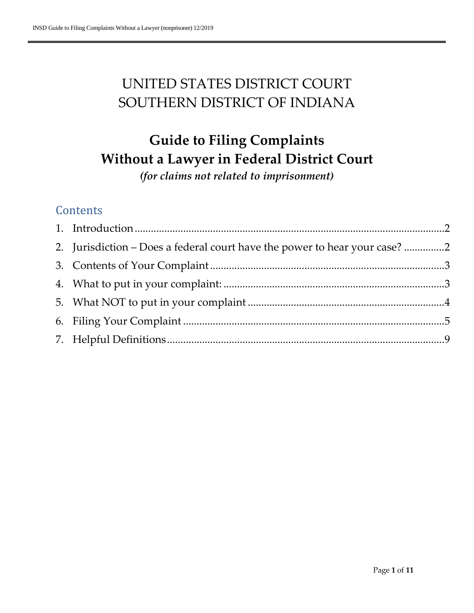# UNITED STATES DISTRICT COURT SOUTHERN DISTRICT OF INDIANA

# **Guide to Filing Complaints Without a Lawyer in Federal District Court**

*(for claims not related to imprisonment)*

# **Contents**

| 2. Jurisdiction - Does a federal court have the power to hear your case? 2 |  |
|----------------------------------------------------------------------------|--|
|                                                                            |  |
|                                                                            |  |
|                                                                            |  |
|                                                                            |  |
|                                                                            |  |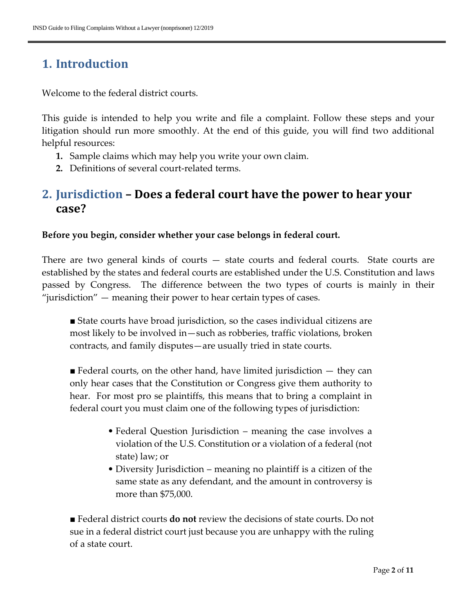# <span id="page-1-0"></span>**1. Introduction**

Welcome to the federal district courts.

This guide is intended to help you write and file a complaint. Follow these steps and your litigation should run more smoothly. At the end of this guide, you will find two additional helpful resources:

- **1.** Sample claims which may help you write your own claim.
- **2.** Definitions of several court-related terms.

### <span id="page-1-1"></span>**2. Jurisdiction – Does a federal court have the power to hear your case?**

#### **Before you begin, consider whether your case belongs in federal court.**

There are two general kinds of courts — state courts and federal courts. State courts are established by the states and federal courts are established under the U.S. Constitution and laws passed by Congress. The difference between the two types of courts is mainly in their "jurisdiction" — meaning their power to hear certain types of cases.

■ State courts have broad jurisdiction, so the cases individual citizens are most likely to be involved in—such as robberies, traffic violations, broken contracts, and family disputes—are usually tried in state courts.

 $\blacksquare$  Federal courts, on the other hand, have limited jurisdiction  $-$  they can only hear cases that the Constitution or Congress give them authority to hear. For most pro se plaintiffs, this means that to bring a complaint in federal court you must claim one of the following types of jurisdiction:

- Federal Question Jurisdiction meaning the case involves a violation of the U.S. Constitution or a violation of a federal (not state) law; or
- Diversity Jurisdiction meaning no plaintiff is a citizen of the same state as any defendant, and the amount in controversy is more than \$75,000.

■ Federal district courts **do not** review the decisions of state courts. Do not sue in a federal district court just because you are unhappy with the ruling of a state court.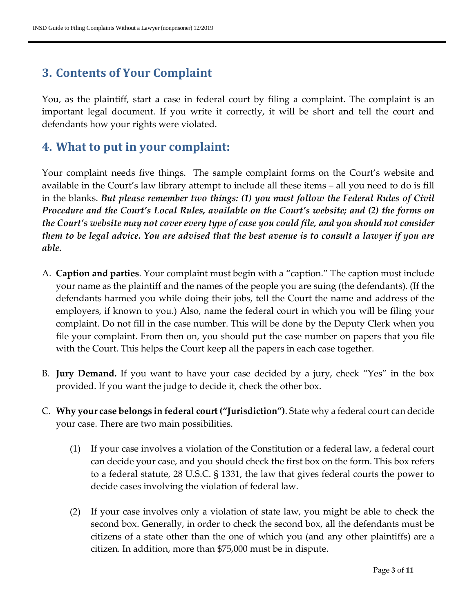## <span id="page-2-0"></span>**3. Contents of Your Complaint**

You, as the plaintiff, start a case in federal court by filing a complaint. The complaint is an important legal document. If you write it correctly, it will be short and tell the court and defendants how your rights were violated.

### <span id="page-2-1"></span>**4. What to put in your complaint:**

Your complaint needs five things. The sample complaint forms on the Court's website and available in the Court's law library attempt to include all these items – all you need to do is fill in the blanks. *But please remember two things: (1) you must follow the Federal Rules of Civil Procedure and the Court's Local Rules, available on the Court's website; and (2) the forms on the Court's website may not cover every type of case you could file, and you should not consider them to be legal advice. You are advised that the best avenue is to consult a lawyer if you are able.*

- A. **Caption and parties**. Your complaint must begin with a "caption." The caption must include your name as the plaintiff and the names of the people you are suing (the defendants). (If the defendants harmed you while doing their jobs, tell the Court the name and address of the employers, if known to you.) Also, name the federal court in which you will be filing your complaint. Do not fill in the case number. This will be done by the Deputy Clerk when you file your complaint. From then on, you should put the case number on papers that you file with the Court. This helps the Court keep all the papers in each case together.
- B. **Jury Demand.** If you want to have your case decided by a jury, check "Yes" in the box provided. If you want the judge to decide it, check the other box.
- C. **Why your case belongs in federal court ("Jurisdiction")**. State why a federal court can decide your case. There are two main possibilities.
	- (1) If your case involves a violation of the Constitution or a federal law, a federal court can decide your case, and you should check the first box on the form. This box refers to a federal statute, 28 U.S.C. § 1331, the law that gives federal courts the power to decide cases involving the violation of federal law.
	- (2) If your case involves only a violation of state law, you might be able to check the second box. Generally, in order to check the second box, all the defendants must be citizens of a state other than the one of which you (and any other plaintiffs) are a citizen. In addition, more than \$75,000 must be in dispute.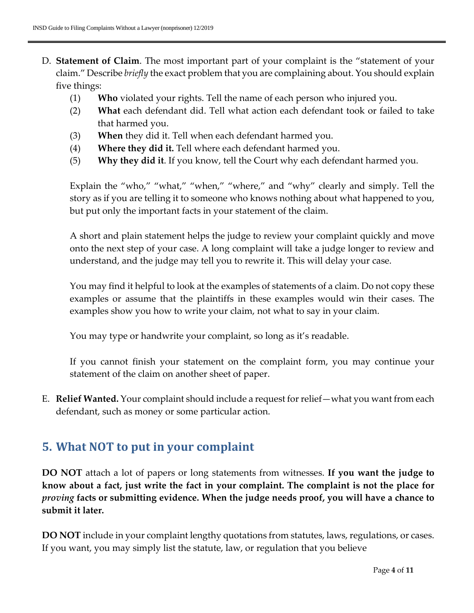- D. **Statement of Claim**. The most important part of your complaint is the "statement of your claim." Describe *briefly* the exact problem that you are complaining about. You should explain five things:
	- (1) **Who** violated your rights. Tell the name of each person who injured you.
	- (2) **What** each defendant did. Tell what action each defendant took or failed to take that harmed you.
	- (3) **When** they did it. Tell when each defendant harmed you.
	- (4) **Where they did it.** Tell where each defendant harmed you.
	- (5) **Why they did it**. If you know, tell the Court why each defendant harmed you.

Explain the "who," "what," "when," "where," and "why" clearly and simply. Tell the story as if you are telling it to someone who knows nothing about what happened to you, but put only the important facts in your statement of the claim.

A short and plain statement helps the judge to review your complaint quickly and move onto the next step of your case. A long complaint will take a judge longer to review and understand, and the judge may tell you to rewrite it. This will delay your case.

You may find it helpful to look at the examples of statements of a claim. Do not copy these examples or assume that the plaintiffs in these examples would win their cases. The examples show you how to write your claim, not what to say in your claim.

You may type or handwrite your complaint, so long as it's readable.

If you cannot finish your statement on the complaint form, you may continue your statement of the claim on another sheet of paper.

E. **Relief Wanted.** Your complaint should include a request for relief—what you want from each defendant, such as money or some particular action.

### <span id="page-3-0"></span>**5. What NOT to put in your complaint**

**DO NOT** attach a lot of papers or long statements from witnesses. **If you want the judge to know about a fact, just write the fact in your complaint. The complaint is not the place for**  *proving* **facts or submitting evidence. When the judge needs proof, you will have a chance to submit it later.**

**DO NOT** include in your complaint lengthy quotations from statutes, laws, regulations, or cases. If you want, you may simply list the statute, law, or regulation that you believe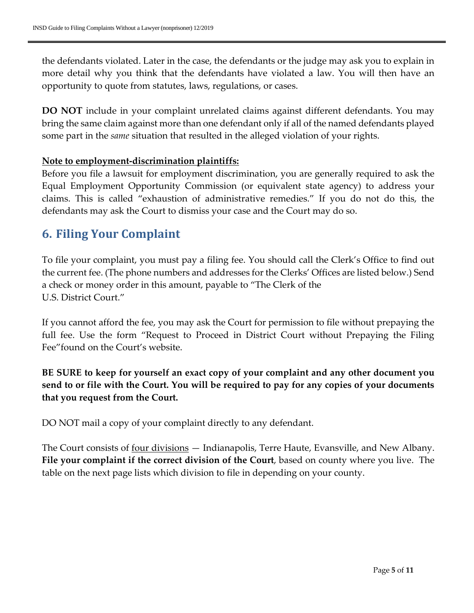the defendants violated. Later in the case, the defendants or the judge may ask you to explain in more detail why you think that the defendants have violated a law. You will then have an opportunity to quote from statutes, laws, regulations, or cases.

**DO NOT** include in your complaint unrelated claims against different defendants. You may bring the same claim against more than one defendant only if all of the named defendants played some part in the *same* situation that resulted in the alleged violation of your rights.

#### **Note to employment-discrimination plaintiffs:**

Before you file a lawsuit for employment discrimination, you are generally required to ask the Equal Employment Opportunity Commission (or equivalent state agency) to address your claims. This is called "exhaustion of administrative remedies." If you do not do this, the defendants may ask the Court to dismiss your case and the Court may do so.

### <span id="page-4-0"></span>**6. Filing Your Complaint**

To file your complaint, you must pay a filing fee. You should call the Clerk's Office to find out the current fee. (The phone numbers and addresses for the Clerks' Offices are listed below.) Send a check or money order in this amount, payable to "The Clerk of the U.S. District Court."

If you cannot afford the fee, you may ask the Court for permission to file without prepaying the full fee. Use the form "Request to Proceed in District Court without Prepaying the Filing Fee"found on the Court's website.

**BE SURE to keep for yourself an exact copy of your complaint and any other document you send to or file with the Court. You will be required to pay for any copies of your documents that you request from the Court.**

DO NOT mail a copy of your complaint directly to any defendant.

The Court consists of <u>four divisions</u> — Indianapolis, Terre Haute, Evansville, and New Albany. **File your complaint if the correct division of the Court**, based on county where you live. The table on the next page lists which division to file in depending on your county.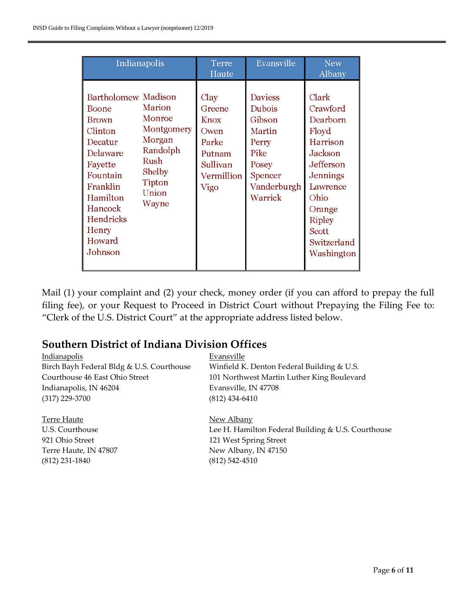| Indianapolis                                                                                                                                                                                                                                                                                     | Terre<br>Haute                                                                             | Evansville                                                                                                  | <b>New</b><br>Albany                                                                                                                                                        |
|--------------------------------------------------------------------------------------------------------------------------------------------------------------------------------------------------------------------------------------------------------------------------------------------------|--------------------------------------------------------------------------------------------|-------------------------------------------------------------------------------------------------------------|-----------------------------------------------------------------------------------------------------------------------------------------------------------------------------|
| Bartholomew Madison<br>Marion<br>Boone<br>Monroe<br><b>Brown</b><br>Montgomery<br>Clinton<br>Morgan<br>Decatur<br>Randolph<br>Delaware<br><b>Rush</b><br>Fayette<br>Shelby<br>Fountain<br>Tipton<br>Franklin<br>Union<br>Hamilton<br>Wayne<br>Hancock<br>Hendricks<br>Henry<br>Howard<br>Johnson | Clay<br>Greene<br><b>Knox</b><br>Owen<br>Parke<br>Putnam<br>Sullivan<br>Vermillion<br>Vigo | <b>Daviess</b><br>Dubois<br>Gibson<br>Martin<br>Perry<br>Pike<br>Posey<br>Spencer<br>Vanderburgh<br>Warrick | Clark<br>Crawford<br>Dearborn<br>Floyd<br>Harrison<br>Jackson<br>Jefferson<br>Jennings<br>Lawrence<br>Ohio<br>Orange<br><b>Ripley</b><br>Scott<br>Switzerland<br>Washington |

Mail (1) your complaint and (2) your check, money order (if you can afford to prepay the full filing fee), or your Request to Proceed in District Court without Prepaying the Filing Fee to: "Clerk of the U.S. District Court" at the appropriate address listed below.

#### **Southern District of Indiana Division Offices**

| <b>Indianapolis</b>                       | Evansville                                         |
|-------------------------------------------|----------------------------------------------------|
| Birch Bayh Federal Bldg & U.S. Courthouse | Winfield K. Denton Federal Building & U.S.         |
| Courthouse 46 East Ohio Street            | 101 Northwest Martin Luther King Boulevard         |
| Indianapolis, IN 46204                    | Evansville, IN 47708                               |
| $(317)$ 229-3700                          | $(812)$ 434-6410                                   |
| Terre Haute                               | New Albany                                         |
| U.S. Courthouse                           | Lee H. Hamilton Federal Building & U.S. Courthouse |
| 921 Ohio Street                           | 121 West Spring Street                             |
| Terre Haute, IN 47807                     | New Albany, IN 47150                               |
| $(812)$ 231-1840                          | $(812)$ 542-4510                                   |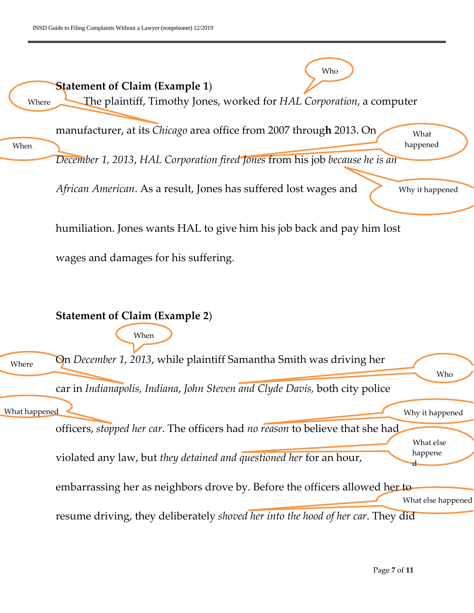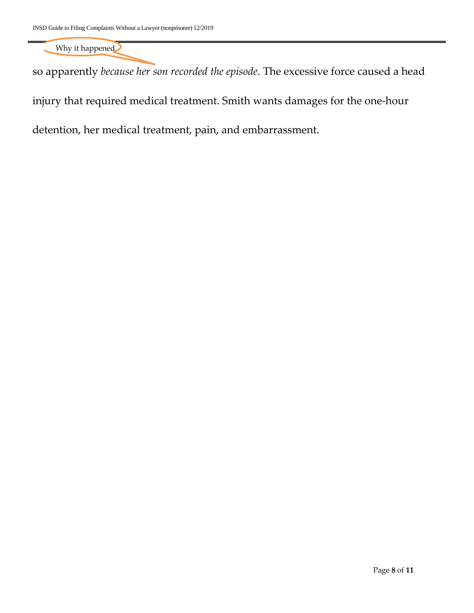Why it happened

so apparently *because her son recorded the episode.* The excessive force caused a head

injury that required medical treatment. Smith wants damages for the one-hour

detention, her medical treatment, pain, and embarrassment.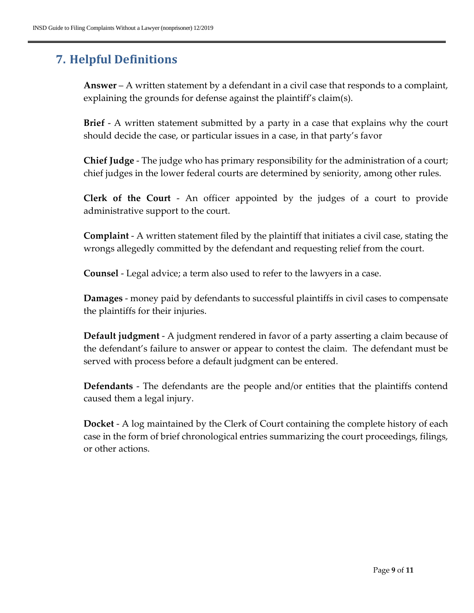# <span id="page-8-0"></span>**7. Helpful Definitions**

**Answer** – A written statement by a defendant in a civil case that responds to a complaint, explaining the grounds for defense against the plaintiff's claim(s).

**Brief** - A written statement submitted by a party in a case that explains why the court should decide the case, or particular issues in a case, in that party's favor

**Chief Judge** - The judge who has primary responsibility for the administration of a court; chief judges in the lower federal courts are determined by seniority, among other rules.

**Clerk of the Court** - An officer appointed by the judges of a court to provide administrative support to the court.

**Complaint** - A written statement filed by the plaintiff that initiates a civil case, stating the wrongs allegedly committed by the defendant and requesting relief from the court.

**Counsel** - Legal advice; a term also used to refer to the lawyers in a case.

**Damages** - money paid by defendants to successful plaintiffs in civil cases to compensate the plaintiffs for their injuries.

**Default judgment** - A judgment rendered in favor of a party asserting a claim because of the defendant's failure to answer or appear to contest the claim. The defendant must be served with process before a default judgment can be entered.

**Defendants** - The defendants are the people and/or entities that the plaintiffs contend caused them a legal injury.

**Docket** - A log maintained by the Clerk of Court containing the complete history of each case in the form of brief chronological entries summarizing the court proceedings, filings, or other actions.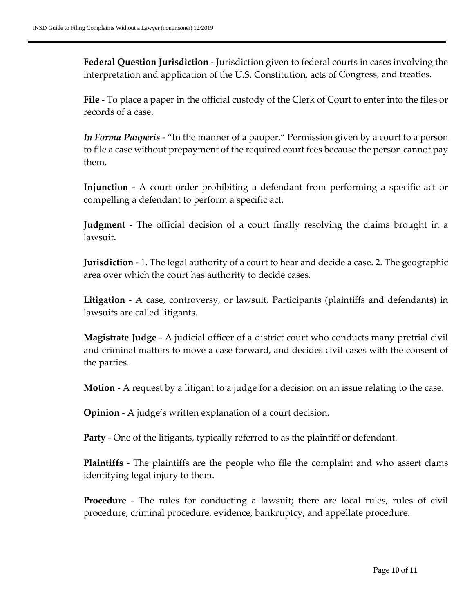**Federal Question Jurisdiction** - Jurisdiction given to federal courts in cases involving the interpretation and application of the U.S. Constitution, acts of Congress, and treaties.

**File** - To place a paper in the official custody of the Clerk of Court to enter into the files or records of a case.

*In Forma Pauperis* - "In the manner of a pauper." Permission given by a court to a person to file a case without prepayment of the required court fees because the person cannot pay them.

**Injunction** - A court order prohibiting a defendant from performing a specific act or compelling a defendant to perform a specific act.

**Judgment** - The official decision of a court finally resolving the claims brought in a lawsuit.

**Jurisdiction** - 1. The legal authority of a court to hear and decide a case. 2. The geographic area over which the court has authority to decide cases.

**Litigation** - A case, controversy, or lawsuit. Participants (plaintiffs and defendants) in lawsuits are called litigants.

**Magistrate Judge** - A judicial officer of a district court who conducts many pretrial civil and criminal matters to move a case forward, and decides civil cases with the consent of the parties.

**Motion** - A request by a litigant to a judge for a decision on an issue relating to the case.

**Opinion** - A judge's written explanation of a court decision.

**Party** - One of the litigants, typically referred to as the plaintiff or defendant.

**Plaintiffs** - The plaintiffs are the people who file the complaint and who assert clams identifying legal injury to them.

**Procedure** - The rules for conducting a lawsuit; there are local rules, rules of civil procedure, criminal procedure, evidence, bankruptcy, and appellate procedure.